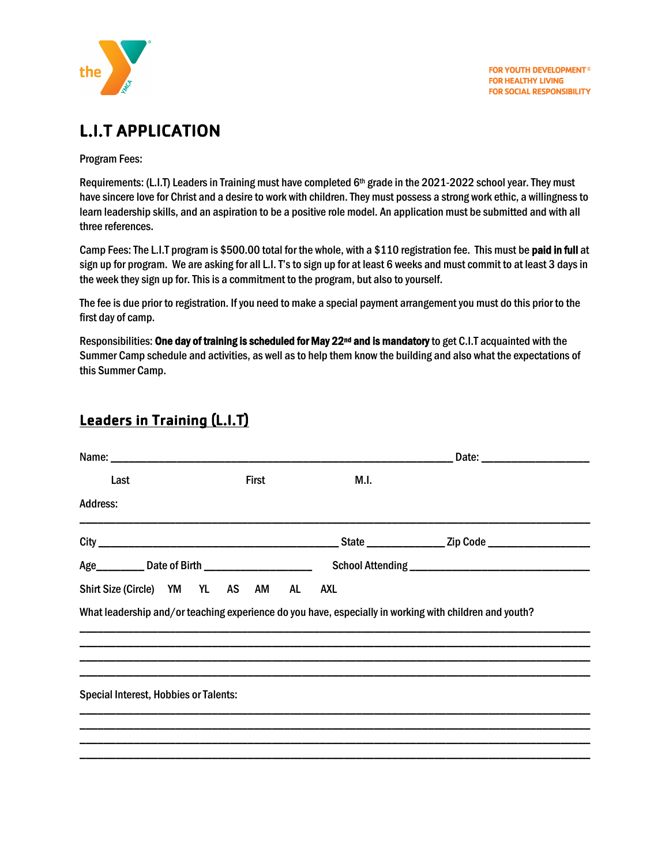

## L.I.T APPLICATION

Program Fees:

Requirements: (L.I.T) Leaders in Training must have completed 6<sup>th</sup> grade in the 2021-2022 school year. They must have sincere love for Christ and a desire to work with children. They must possess a strong work ethic, a willingness to learn leadership skills, and an aspiration to be a positive role model. An application must be submitted and with all three references.

Camp Fees: The L.I.T program is \$500.00 total for the whole, with a \$110 registration fee. This must be paid in full at sign up for program. We are asking for all L.I. T'sto sign up for at least 6 weeks and must commit to at least 3 days in the week they sign up for. This is a commitment to the program, but also to yourself.

The fee is due prior to registration. If you need to make a special payment arrangement you must do this prior to the first day of camp.

Responsibilities: One day of training is scheduled for May 22<sup>nd</sup> and is mandatory to get C.I.T acquainted with the Summer Camp schedule and activities, as well as to help them know the building and also what the expectations of this Summer Camp.

## Leaders in Training (L.I.T)

| Last                                                                                                   | First | M.I. |  |
|--------------------------------------------------------------------------------------------------------|-------|------|--|
| <b>Address:</b>                                                                                        |       |      |  |
|                                                                                                        |       |      |  |
| Age___________ Date of Birth _________________________                                                 |       |      |  |
| Shirt Size (Circle) YM YL AS AM AL                                                                     |       | AXL  |  |
| What leadership and/or teaching experience do you have, especially in working with children and youth? |       |      |  |
| <b>Special Interest, Hobbies or Talents:</b>                                                           |       |      |  |
|                                                                                                        |       |      |  |
|                                                                                                        |       |      |  |
|                                                                                                        |       |      |  |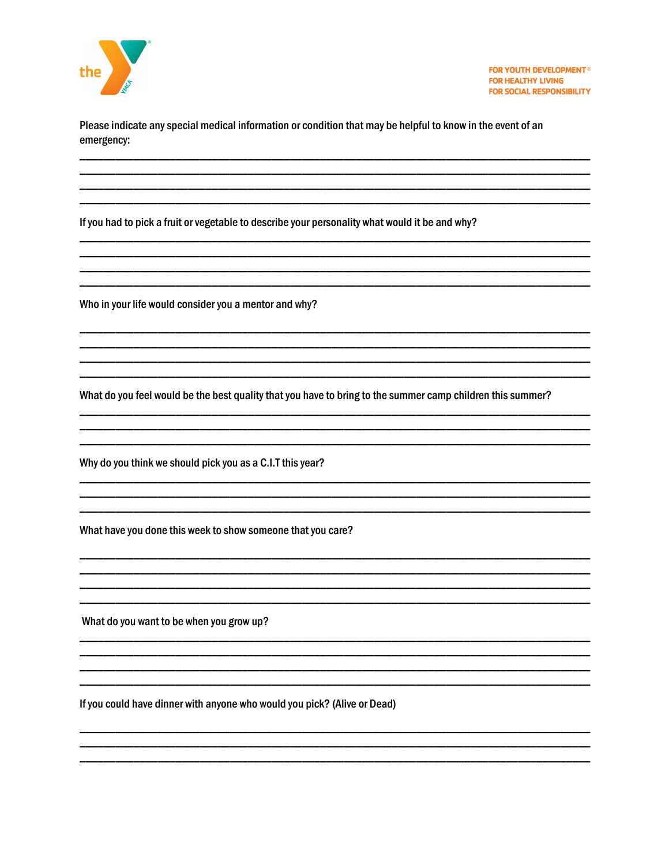

Please indicate any special medical information or condition that may be helpful to know in the event of an emergency:

If you had to pick a fruit or vegetable to describe your personality what would it be and why?

Who in your life would consider you a mentor and why?

What do you feel would be the best quality that you have to bring to the summer camp children this summer?

Why do you think we should pick you as a C.I.T this year?

What have you done this week to show someone that you care?

What do you want to be when you grow up?

If you could have dinner with anyone who would you pick? (Alive or Dead)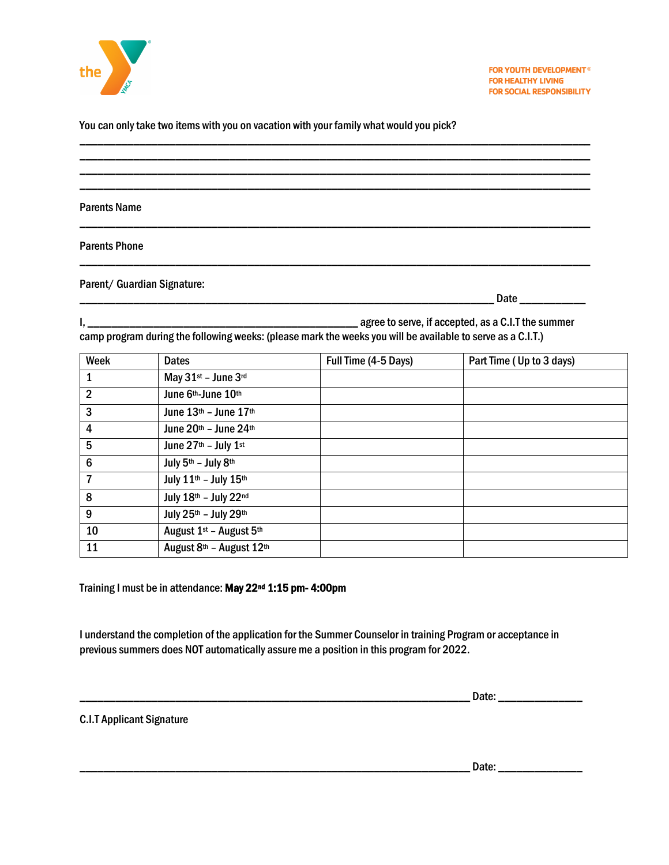

You can only take two items with you on vacation with your family what would you pick?

Parents Name

Parents Phone

Parent/ Guardian Signature:

\_\_\_\_\_\_\_\_\_\_\_\_\_\_\_\_\_\_\_\_\_\_\_\_\_\_\_\_\_\_\_\_\_\_\_\_\_\_\_\_\_\_\_\_\_\_\_\_\_\_\_\_\_\_\_\_\_\_\_\_\_\_\_\_\_\_\_\_\_ Date \_\_\_\_\_\_\_\_\_\_\_

I, \_\_\_\_\_\_\_\_\_\_\_\_\_\_\_\_\_\_\_\_\_\_\_\_\_\_\_\_\_\_\_\_\_\_\_\_\_\_\_\_\_\_\_\_\_ agree to serve, if accepted, as a C.I.Tthe summer camp program during the following weeks: (please mark the weeks you will be available to serve as a C.I.T.)

\_\_\_\_\_\_\_\_\_\_\_\_\_\_\_\_\_\_\_\_\_\_\_\_\_\_\_\_\_\_\_\_\_\_\_\_\_\_\_\_\_\_\_\_\_\_\_\_\_\_\_\_\_\_\_\_\_\_\_\_\_\_\_\_\_\_\_\_\_\_\_\_\_\_\_\_\_\_\_\_\_\_\_\_\_ \_\_\_\_\_\_\_\_\_\_\_\_\_\_\_\_\_\_\_\_\_\_\_\_\_\_\_\_\_\_\_\_\_\_\_\_\_\_\_\_\_\_\_\_\_\_\_\_\_\_\_\_\_\_\_\_\_\_\_\_\_\_\_\_\_\_\_\_\_\_\_\_\_\_\_\_\_\_\_\_\_\_\_\_\_ \_\_\_\_\_\_\_\_\_\_\_\_\_\_\_\_\_\_\_\_\_\_\_\_\_\_\_\_\_\_\_\_\_\_\_\_\_\_\_\_\_\_\_\_\_\_\_\_\_\_\_\_\_\_\_\_\_\_\_\_\_\_\_\_\_\_\_\_\_\_\_\_\_\_\_\_\_\_\_\_\_\_\_\_\_ \_\_\_\_\_\_\_\_\_\_\_\_\_\_\_\_\_\_\_\_\_\_\_\_\_\_\_\_\_\_\_\_\_\_\_\_\_\_\_\_\_\_\_\_\_\_\_\_\_\_\_\_\_\_\_\_\_\_\_\_\_\_\_\_\_\_\_\_\_\_\_\_\_\_\_\_\_\_\_\_\_\_\_\_\_

\_\_\_\_\_\_\_\_\_\_\_\_\_\_\_\_\_\_\_\_\_\_\_\_\_\_\_\_\_\_\_\_\_\_\_\_\_\_\_\_\_\_\_\_\_\_\_\_\_\_\_\_\_\_\_\_\_\_\_\_\_\_\_\_\_\_\_\_\_\_\_\_\_\_\_\_\_\_\_\_\_\_\_\_\_

\_\_\_\_\_\_\_\_\_\_\_\_\_\_\_\_\_\_\_\_\_\_\_\_\_\_\_\_\_\_\_\_\_\_\_\_\_\_\_\_\_\_\_\_\_\_\_\_\_\_\_\_\_\_\_\_\_\_\_\_\_\_\_\_\_\_\_\_\_\_\_\_\_\_\_\_\_\_\_\_\_\_\_\_\_

| Week                    | <b>Dates</b>                                    | Full Time (4-5 Days) | Part Time (Up to 3 days) |
|-------------------------|-------------------------------------------------|----------------------|--------------------------|
| 1                       | May 31st - June 3rd                             |                      |                          |
| $\overline{2}$          | June 6th-June 10th                              |                      |                          |
| 3                       | June $13th$ – June $17th$                       |                      |                          |
| 4                       | June $20th$ – June $24th$                       |                      |                          |
| $5\phantom{.0}$         | June 27th - July 1st                            |                      |                          |
| $6\phantom{1}6$         | July 5th - July 8th                             |                      |                          |
| $\overline{\mathbf{r}}$ | July 11th - July 15th                           |                      |                          |
| 8                       | July 18th - July 22nd                           |                      |                          |
| 9                       | July 25th - July 29th                           |                      |                          |
| 10                      | August 1 <sup>st</sup> - August 5 <sup>th</sup> |                      |                          |
| 11                      | August 8th - August 12th                        |                      |                          |

Training I must be in attendance: May 22nd 1:15 pm- 4:00pm

I understand the completion of the application for the Summer Counselor in training Program or acceptance in previous summers does NOT automatically assure me a position in this program for 2022.

\_\_\_\_\_\_\_\_\_\_\_\_\_\_\_\_\_\_\_\_\_\_\_\_\_\_\_\_\_\_\_\_\_\_\_\_\_\_\_\_\_\_\_\_\_\_\_\_\_\_\_\_\_\_\_\_\_\_\_\_\_\_\_\_\_ Date: \_\_\_\_\_\_\_\_\_\_\_\_\_\_

C.I.T Applicant Signature

\_\_\_\_\_\_\_\_\_\_\_\_\_\_\_\_\_\_\_\_\_\_\_\_\_\_\_\_\_\_\_\_\_\_\_\_\_\_\_\_\_\_\_\_\_\_\_\_\_\_\_\_\_\_\_\_\_\_\_\_\_\_\_\_\_ Date: \_\_\_\_\_\_\_\_\_\_\_\_\_\_